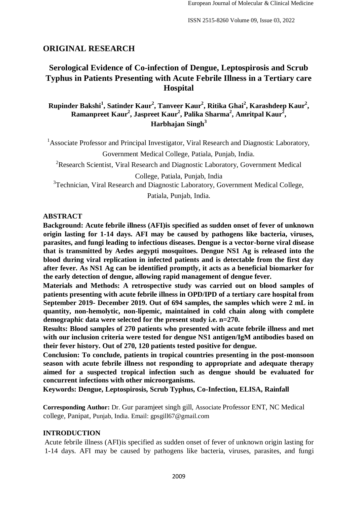## **ORIGINAL RESEARCH**

# **Serological Evidence of Co-infection of Dengue, Leptospirosis and Scrub Typhus in Patients Presenting with Acute Febrile Illness in a Tertiary care Hospital**

**Rupinder Bakshi<sup>1</sup> , Satinder Kaur<sup>2</sup> , Tanveer Kaur<sup>2</sup> , Ritika Ghai<sup>2</sup> , Karashdeep Kaur<sup>2</sup> , Ramanpreet Kaur<sup>2</sup> , Jaspreet Kaur<sup>2</sup> , Palika Sharma<sup>2</sup> , Amritpal Kaur<sup>2</sup> , Harbhajan Singh<sup>3</sup>**

<sup>1</sup> Associate Professor and Principal Investigator, Viral Research and Diagnostic Laboratory, Government Medical College, Patiala, Punjab, India.

<sup>2</sup>Research Scientist, Viral Research and Diagnostic Laboratory, Government Medical

College, Patiala, Punjab, India <sup>3</sup>Technician, Viral Research and Diagnostic Laboratory, Government Medical College,

Patiala, Punjab, India.

### **ABSTRACT**

**Background: Acute febrile illness (AFI)is specified as sudden onset of fever of unknown origin lasting for 1-14 days. AFI may be caused by pathogens like bacteria, viruses, parasites, and fungi leading to infectious diseases. Dengue is a vector-borne viral disease that is transmitted by Aedes aegypti mosquitoes. Dengue NS1 Ag is released into the blood during viral replication in infected patients and is detectable from the first day after fever. As NS1 Ag can be identified promptly, it acts as a beneficial biomarker for the early detection of dengue, allowing rapid management of dengue fever.** 

**Materials and Methods: A retrospective study was carried out on blood samples of patients presenting with acute febrile illness in OPD/IPD of a tertiary care hospital from September 2019- December 2019. Out of 694 samples, the samples which were 2 mL in quantity, non-hemolytic, non-lipemic, maintained in cold chain along with complete demographic data were selected for the present study i.e. n=270.** 

**Results: Blood samples of 270 patients who presented with acute febrile illness and met with our inclusion criteria were tested for dengue NS1 antigen/IgM antibodies based on their fever history. Out of 270, 120 patients tested positive for dengue.** 

**Conclusion: To conclude, patients in tropical countries presenting in the post-monsoon season with acute febrile illness not responding to appropriate and adequate therapy aimed for a suspected tropical infection such as dengue should be evaluated for concurrent infections with other microorganisms.** 

**Keywords: Dengue, Leptospirosis, Scrub Typhus, Co-Infection, ELISA, Rainfall** 

**Corresponding Author:** Dr. Gur paramjeet singh gill, Associate Professor ENT, NC Medical college, Panipat, Punjab, India. Email: gpsgill67@gmail.com

### **INTRODUCTION**

Acute febrile illness (AFI)is specified as sudden onset of fever of unknown origin lasting for 1-14 days. AFI may be caused by pathogens like bacteria, viruses, parasites, and fungi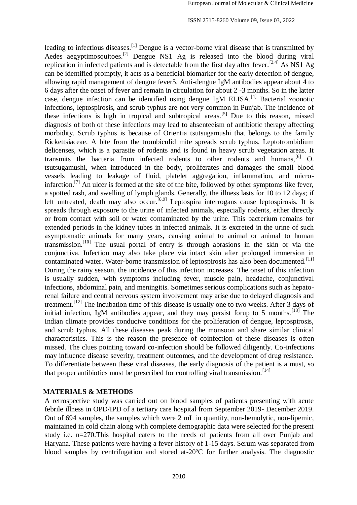leading to infectious diseases.[1] Dengue is a vector-borne viral disease that is transmitted by Aedes aegyptimosquitoes.<sup>[2]</sup> Dengue NS1 Ag is released into the blood during viral replication in infected patients and is detectable from the first day after fever.[3,4] As NS1 Ag can be identified promptly, it acts as a beneficial biomarker for the early detection of dengue, allowing rapid management of dengue fever5. Anti-dengue IgM antibodies appear about 4 to 6 days after the onset of fever and remain in circulation for about 2 -3 months. So in the latter case, dengue infection can be identified using dengue IgM ELISA.[4] Bacterial zoonotic infections, leptospirosis, and scrub typhus are not very common in Punjab. The incidence of these infections is high in tropical and subtropical areas.[5] Due to this reason, missed diagnosis of both of these infections may lead to absenteeism of antibiotic therapy affecting morbidity. Scrub typhus is because of Orientia tsutsugamushi that belongs to the family Rickettsiaceae. A bite from the trombiculid mite spreads scrub typhus, Leptotrombidium delicenses, which is a parasite of rodents and is found in heavy scrub vegetation areas. It transmits the bacteria from infected rodents to other rodents and humans,  $\begin{bmatrix} 6 \end{bmatrix}$  O. tsutsugamushi, when introduced in the body, proliferates and damages the small blood vessels leading to leakage of fluid, platelet aggregation, inflammation, and microinfarction.<sup>[7]</sup> An ulcer is formed at the site of the bite, followed by other symptoms like fever, a spotted rash, and swelling of lymph glands. Generally, the illness lasts for 10 to 12 days; if left untreated, death may also occur.<sup>[8,9]</sup> Leptospira interrogans cause leptospirosis. It is spreads through exposure to the urine of infected animals, especially rodents, either directly or from contact with soil or water contaminated by the urine. This bacterium remains for extended periods in the kidney tubes in infected animals. It is excreted in the urine of such asymptomatic animals for many years, causing animal to animal or animal to human transmission.[10] The usual portal of entry is through abrasions in the skin or via the conjunctiva. Infection may also take place via intact skin after prolonged immersion in contaminated water. Water-borne transmission of leptospirosis has also been documented.<sup>[11]</sup> During the rainy season, the incidence of this infection increases. The onset of this infection is usually sudden, with symptoms including fever, muscle pain, headache, conjunctival infections, abdominal pain, and meningitis. Sometimes serious complications such as hepatorenal failure and central nervous system involvement may arise due to delayed diagnosis and treatment.[12] The incubation time of this disease is usually one to two weeks. After 3 days of initial infection, IgM antibodies appear, and they may persist forup to 5 months.<sup>[13]</sup> The Indian climate provides conducive conditions for the proliferation of dengue, leptospirosis, and scrub typhus. All these diseases peak during the monsoon and share similar clinical characteristics. This is the reason the presence of coinfection of these diseases is often missed. The clues pointing toward co-infection should be followed diligently. Co-infections may influence disease severity, treatment outcomes, and the development of drug resistance. To differentiate between these viral diseases, the early diagnosis of the patient is a must, so that proper antibiotics must be prescribed for controlling viral transmission.<sup>[14]</sup>

### **MATERIALS & METHODS**

A retrospective study was carried out on blood samples of patients presenting with acute febrile illness in OPD/IPD of a tertiary care hospital from September 2019- December 2019. Out of 694 samples, the samples which were 2 mL in quantity, non-hemolytic, non-lipemic, maintained in cold chain along with complete demographic data were selected for the present study i.e. n=270.This hospital caters to the needs of patients from all over Punjab and Haryana. These patients were having a fever history of 1-15 days. Serum was separated from blood samples by centrifugation and stored at-20ºC for further analysis. The diagnostic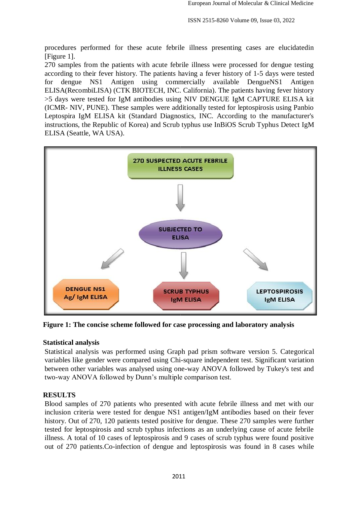procedures performed for these acute febrile illness presenting cases are elucidatedin [Figure 1].

270 samples from the patients with acute febrile illness were processed for dengue testing according to their fever history. The patients having a fever history of 1-5 days were tested for dengue NS1 Antigen using commercially available DengueNS1 Antigen ELISA(RecombiLISA) (CTK BIOTECH, INC. California). The patients having fever history >5 days were tested for IgM antibodies using NIV DENGUE IgM CAPTURE ELISA kit (ICMR- NIV, PUNE). These samples were additionally tested for leptospirosis using Panbio Leptospira IgM ELISA kit (Standard Diagnostics, INC. According to the manufacturer's instructions, the Republic of Korea) and Scrub typhus use InBiOS Scrub Typhus Detect IgM ELISA (Seattle, WA USA).



**Figure 1: The concise scheme followed for case processing and laboratory analysis** 

## **Statistical analysis**

Statistical analysis was performed using Graph pad prism software version 5. Categorical variables like gender were compared using Chi-square independent test. Significant variation between other variables was analysed using one-way ANOVA followed by Tukey's test and two-way ANOVA followed by Dunn's multiple comparison test.

# **RESULTS**

Blood samples of 270 patients who presented with acute febrile illness and met with our inclusion criteria were tested for dengue NS1 antigen/IgM antibodies based on their fever history. Out of 270, 120 patients tested positive for dengue. These 270 samples were further tested for leptospirosis and scrub typhus infections as an underlying cause of acute febrile illness. A total of 10 cases of leptospirosis and 9 cases of scrub typhus were found positive out of 270 patients.Co-infection of dengue and leptospirosis was found in 8 cases while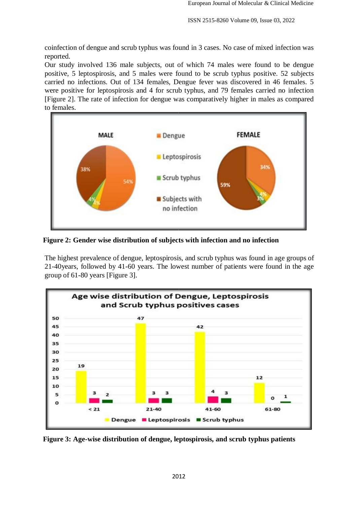coinfection of dengue and scrub typhus was found in 3 cases. No case of mixed infection was reported.

Our study involved 136 male subjects, out of which 74 males were found to be dengue positive, 5 leptospirosis, and 5 males were found to be scrub typhus positive. 52 subjects carried no infections. Out of 134 females, Dengue fever was discovered in 46 females. 5 were positive for leptospirosis and 4 for scrub typhus, and 79 females carried no infection [Figure 2]. The rate of infection for dengue was comparatively higher in males as compared to females.



**Figure 2: Gender wise distribution of subjects with infection and no infection** 

The highest prevalence of dengue, leptospirosis, and scrub typhus was found in age groups of 21-40years, followed by 41-60 years. The lowest number of patients were found in the age group of 61-80 years [Figure 3].



**Figure 3: Age-wise distribution of dengue, leptospirosis, and scrub typhus patients**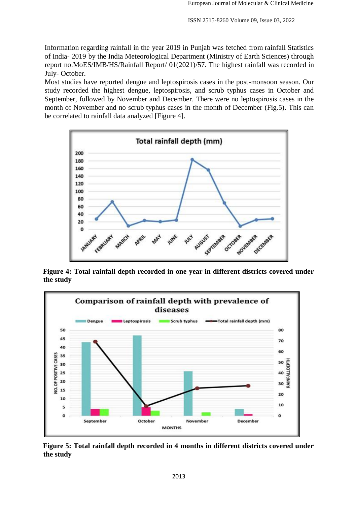Information regarding rainfall in the year 2019 in Punjab was fetched from rainfall Statistics of India- 2019 by the India Meteorological Department (Ministry of Earth Sciences) through report no.MoES/IMB/HS/Rainfall Report/ 01(2021)/57. The highest rainfall was recorded in July- October.

Most studies have reported dengue and leptospirosis cases in the post-monsoon season. Our study recorded the highest dengue, leptospirosis, and scrub typhus cases in October and September, followed by November and December. There were no leptospirosis cases in the month of November and no scrub typhus cases in the month of December (Fig.5). This can be correlated to rainfall data analyzed [Figure 4].



**Figure 4: Total rainfall depth recorded in one year in different districts covered under the study** 



**Figure 5: Total rainfall depth recorded in 4 months in different districts covered under the study**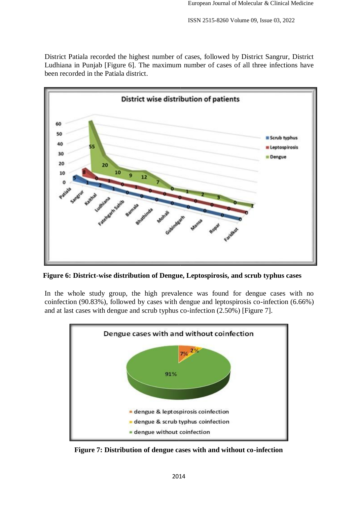District Patiala recorded the highest number of cases, followed by District Sangrur, District Ludhiana in Punjab [Figure 6]. The maximum number of cases of all three infections have been recorded in the Patiala district.



**Figure 6: District-wise distribution of Dengue, Leptospirosis, and scrub typhus cases** 

In the whole study group, the high prevalence was found for dengue cases with no coinfection (90.83%), followed by cases with dengue and leptospirosis co-infection (6.66%) and at last cases with dengue and scrub typhus co-infection (2.50%) [Figure 7].



**Figure 7: Distribution of dengue cases with and without co-infection**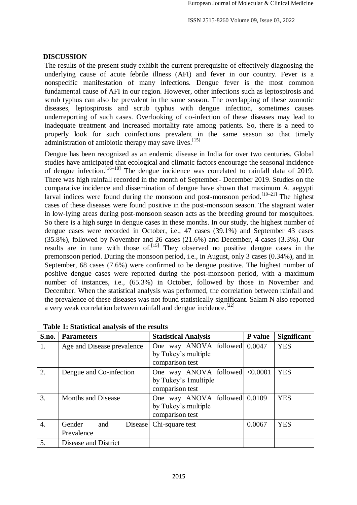### **DISCUSSION**

The results of the present study exhibit the current prerequisite of effectively diagnosing the underlying cause of acute febrile illness (AFI) and fever in our country. Fever is a nonspecific manifestation of many infections. Dengue fever is the most common fundamental cause of AFI in our region. However, other infections such as leptospirosis and scrub typhus can also be prevalent in the same season. The overlapping of these zoonotic diseases, leptospirosis and scrub typhus with dengue infection, sometimes causes underreporting of such cases. Overlooking of co-infection of these diseases may lead to inadequate treatment and increased mortality rate among patients. So, there is a need to properly look for such coinfections prevalent in the same season so that timely administration of antibiotic therapy may save lives.  $[15]$ 

Dengue has been recognized as an endemic disease in India for over two centuries. Global studies have anticipated that ecological and climatic factors encourage the seasonal incidence of dengue infection.  $[16-18]$  The dengue incidence was correlated to rainfall data of 2019. There was high rainfall recorded in the month of September- December 2019. Studies on the comparative incidence and dissemination of dengue have shown that maximum A. aegypti larval indices were found during the monsoon and post-monsoon period.<sup>[19–21]</sup> The highest cases of these diseases were found positive in the post-monsoon season. The stagnant water in low-lying areas during post-monsoon season acts as the breeding ground for mosquitoes. So there is a high surge in dengue cases in these months. In our study, the highest number of dengue cases were recorded in October, i.e., 47 cases (39.1%) and September 43 cases (35.8%), followed by November and 26 cases (21.6%) and December, 4 cases (3.3%). Our results are in tune with those of.<sup>[15]</sup> They observed no positive dengue cases in the premonsoon period. During the monsoon period, i.e., in August, only 3 cases (0.34%), and in September, 68 cases (7.6%) were confirmed to be dengue positive. The highest number of positive dengue cases were reported during the post-monsoon period, with a maximum number of instances, i.e., (65.3%) in October, followed by those in November and December. When the statistical analysis was performed, the correlation between rainfall and the prevalence of these diseases was not found statistically significant. Salam N also reported a very weak correlation between rainfall and dengue incidence.<sup>[22]</sup>

| S.no. | <b>Parameters</b>          | <b>Statistical Analysis</b>   | <b>P</b> value | <b>Significant</b> |
|-------|----------------------------|-------------------------------|----------------|--------------------|
| 1.    | Age and Disease prevalence | One way ANOVA followed 0.0047 |                | <b>YES</b>         |
|       |                            | by Tukey's multiple           |                |                    |
|       |                            | comparison test               |                |                    |
| 2.    | Dengue and Co-infection    | One way ANOVA followed        | < 0.0001       | <b>YES</b>         |
|       |                            | by Tukey's 1 multiple         |                |                    |
|       |                            | comparison test               |                |                    |
| 3.    | Months and Disease         | One way ANOVA followed 0.0109 |                | <b>YES</b>         |
|       |                            | by Tukey's multiple           |                |                    |
|       |                            | comparison test               |                |                    |
| 4.    | Gender<br>and<br>Disease   | Chi-square test               | 0.0067         | <b>YES</b>         |
|       | Prevalence                 |                               |                |                    |
| 5.    | Disease and District       |                               |                |                    |

**Table 1: Statistical analysis of the results**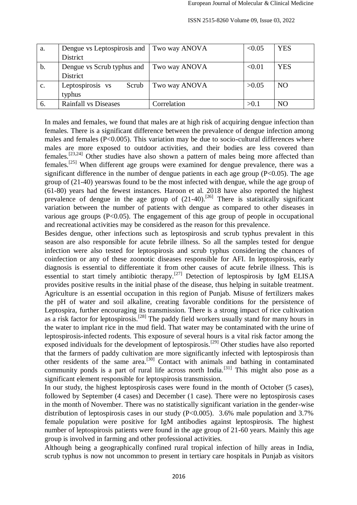| a.             | Dengue vs Leptospirosis and | Two way ANOVA | < 0.05 | <b>YES</b>     |
|----------------|-----------------------------|---------------|--------|----------------|
|                | District                    |               |        |                |
| $\mathbf b$ .  | Dengue vs Scrub typhus and  | Two way ANOVA | < 0.01 | <b>YES</b>     |
|                | <b>District</b>             |               |        |                |
| $\mathbf{c}$ . | Leptospirosis vs<br>Scrub   | Two way ANOVA | >0.05  | N <sub>O</sub> |
|                | typhus                      |               |        |                |
| 6.             | Rainfall vs Diseases        | Correlation   | >0.1   | N <sub>O</sub> |

ISSN 2515-8260 Volume 09, Issue 03, 2022

In males and females, we found that males are at high risk of acquiring dengue infection than females. There is a significant difference between the prevalence of dengue infection among males and females (P<0.005). This variation may be due to socio-cultural differences where males are more exposed to outdoor activities, and their bodies are less covered than females.[23,24] Other studies have also shown a pattern of males being more affected than females.<sup>[25]</sup> When different age groups were examined for dengue prevalence, there was a significant difference in the number of dengue patients in each age group  $(P<0.05)$ . The age group of (21-40) yearswas found to be the most infected with dengue, while the age group of (61-80) years had the fewest instances. Haroon et al. 2018 have also reported the highest prevalence of dengue in the age group of  $(21-40)$ .<sup>[26]</sup> There is statistically significant variation between the number of patients with dengue as compared to other diseases in various age groups (P<0.05). The engagement of this age group of people in occupational and recreational activities may be considered as the reason for this prevalence.

Besides dengue, other infections such as leptospirosis and scrub typhus prevalent in this season are also responsible for acute febrile illness. So all the samples tested for dengue infection were also tested for leptospirosis and scrub typhus considering the chances of coinfection or any of these zoonotic diseases responsible for AFI. In leptospirosis, early diagnosis is essential to differentiate it from other causes of acute febrile illness. This is essential to start timely antibiotic therapy.[27] Detection of leptospirosis by IgM ELISA provides positive results in the initial phase of the disease, thus helping in suitable treatment. Agriculture is an essential occupation in this region of Punjab. Misuse of fertilizers makes the pH of water and soil alkaline, creating favorable conditions for the persistence of Leptospira, further encouraging its transmission. There is a strong impact of rice cultivation as a risk factor for leptospirosis.<sup>[28]</sup> The paddy field workers usually stand for many hours in the water to implant rice in the mud field. That water may be contaminated with the urine of leptospirosis-infected rodents. This exposure of several hours is a vital risk factor among the exposed individuals for the development of leptospirosis.<sup>[29]</sup> Other studies have also reported that the farmers of paddy cultivation are more significantly infected with leptospirosis than other residents of the same area.[30] Contact with animals and bathing in contaminated community ponds is a part of rural life across north India.<sup>[31]</sup> This might also pose as a significant element responsible for leptospirosis transmission.

In our study, the highest leptospirosis cases were found in the month of October (5 cases), followed by September (4 cases) and December (1 case). There were no leptospirosis cases in the month of November. There was no statistically significant variation in the gender-wise distribution of leptospirosis cases in our study  $(P<0.005)$ . 3.6% male population and 3.7% female population were positive for IgM antibodies against leptospirosis. The highest number of leptospirosis patients were found in the age group of 21-60 years. Mainly this age group is involved in farming and other professional activities.

Although being a geographically confined rural tropical infection of hilly areas in India, scrub typhus is now not uncommon to present in tertiary care hospitals in Punjab as visitors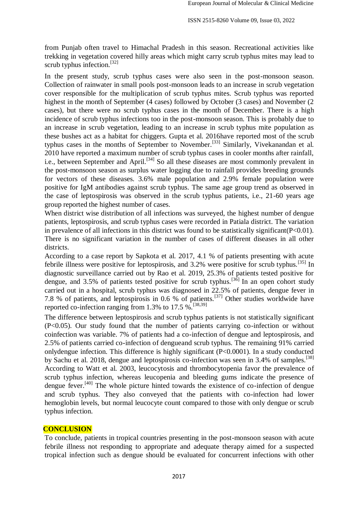from Punjab often travel to Himachal Pradesh in this season. Recreational activities like trekking in vegetation covered hilly areas which might carry scrub typhus mites may lead to scrub typhus infection.<sup>[32]</sup>

In the present study, scrub typhus cases were also seen in the post-monsoon season. Collection of rainwater in small pools post-monsoon leads to an increase in scrub vegetation cover responsible for the multiplication of scrub typhus mites. Scrub typhus was reported highest in the month of September (4 cases) followed by October (3 cases) and November (2 cases), but there were no scrub typhus cases in the month of December. There is a high incidence of scrub typhus infections too in the post-monsoon season. This is probably due to an increase in scrub vegetation, leading to an increase in scrub typhus mite population as these bushes act as a habitat for chiggers. Gupta et al. 2016have reported most of the scrub typhus cases in the months of September to November.<sup>[33]</sup> Similarly, Vivekanandan et al. 2010 have reported a maximum number of scrub typhus cases in cooler months after rainfall, i.e., between September and April.<sup>[34]</sup> So all these diseases are most commonly prevalent in the post-monsoon season as surplus water logging due to rainfall provides breeding grounds for vectors of these diseases. 3.6% male population and 2.9% female population were positive for IgM antibodies against scrub typhus. The same age group trend as observed in the case of leptospirosis was observed in the scrub typhus patients, i.e., 21-60 years age group reported the highest number of cases.

When district wise distribution of all infections was surveyed, the highest number of dengue patients, leptospirosis, and scrub typhus cases were recorded in Patiala district. The variation in prevalence of all infections in this district was found to be statistically significant  $(P<0.01)$ . There is no significant variation in the number of cases of different diseases in all other districts.

According to a case report by Sapkota et al. 2017, 4.1 % of patients presenting with acute febrile illness were positive for leptospirosis, and 3.2% were positive for scrub typhus.[35] In diagnostic surveillance carried out by Rao et al. 2019, 25.3% of patients tested positive for dengue, and 3.5% of patients tested positive for scrub typhus.<sup>[36]</sup> In an open cohort study carried out in a hospital, scrub typhus was diagnosed in 22.5% of patients, dengue fever in 7.8 % of patients, and leptospirosis in 0.6 % of patients.[37] Other studies worldwide have reported co-infection ranging from 1.3% to  $17.5\%$ <sup>[38,39]</sup>

The difference between leptospirosis and scrub typhus patients is not statistically significant (P<0.05). Our study found that the number of patients carrying co-infection or without coinfection was variable. 7% of patients had a co-infection of dengue and leptospirosis, and 2.5% of patients carried co-infection of dengueand scrub typhus. The remaining 91% carried onlydengue infection. This difference is highly significant (P<0.0001). In a study conducted by Sachu et al. 2018, dengue and leptospirosis co-infection was seen in 3.4% of samples.<sup>[38]</sup> According to Watt et al. 2003, leucocytosis and thrombocytopenia favor the prevalence of scrub typhus infection, whereas leucopenia and bleeding gums indicate the presence of dengue fever.<sup>[40]</sup> The whole picture hinted towards the existence of co-infection of dengue and scrub typhus. They also conveyed that the patients with co-infection had lower hemoglobin levels, but normal leucocyte count compared to those with only dengue or scrub typhus infection.

#### **CONCLUSION**

To conclude, patients in tropical countries presenting in the post-monsoon season with acute febrile illness not responding to appropriate and adequate therapy aimed for a suspected tropical infection such as dengue should be evaluated for concurrent infections with other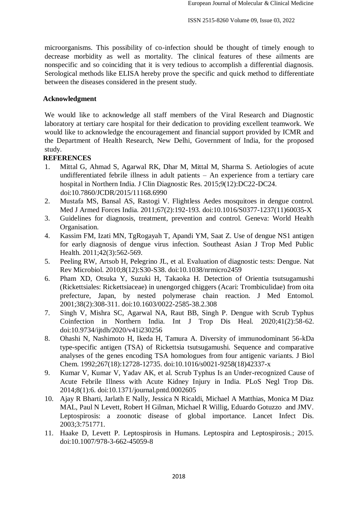microorganisms. This possibility of co-infection should be thought of timely enough to decrease morbidity as well as mortality. The clinical features of these ailments are nonspecific and so coinciding that it is very tedious to accomplish a differential diagnosis. Serological methods like ELISA hereby prove the specific and quick method to differentiate between the diseases considered in the present study.

### **Acknowledgment**

We would like to acknowledge all staff members of the Viral Research and Diagnostic laboratory at tertiary care hospital for their dedication to providing excellent teamwork. We would like to acknowledge the encouragement and financial support provided by ICMR and the Department of Health Research, New Delhi, Government of India, for the proposed study.

### **REFERENCES**

- 1. Mittal G, Ahmad S, Agarwal RK, Dhar M, Mittal M, Sharma S. Aetiologies of acute undifferentiated febrile illness in adult patients – An experience from a tertiary care hospital in Northern India. J Clin Diagnostic Res. 2015;9(12):DC22-DC24. doi:10.7860/JCDR/2015/11168.6990
- 2. Mustafa MS, Bansal AS, Rastogi V. Flightless Aedes mosquitoes in dengue control. Med J Armed Forces India. 2011;67(2):192-193. doi:10.1016/S0377-1237(11)60035-X
- 3. Guidelines for diagnosis, treatment, prevention and control. Geneva: World Health Organisation.
- 4. Kassim FM, Izati MN, TgRogayah T, Apandi YM, Saat Z. Use of dengue NS1 antigen for early diagnosis of dengue virus infection. Southeast Asian J Trop Med Public Health. 2011;42(3):562-569.
- 5. Peeling RW, Artsob H, Pelegrino JL, et al. Evaluation of diagnostic tests: Dengue. Nat Rev Microbiol. 2010;8(12):S30-S38. doi:10.1038/nrmicro2459
- 6. Pham XD, Otsuka Y, Suzuki H, Takaoka H. Detection of Orientia tsutsugamushi (Rickettsiales: Rickettsiaceae) in unengorged chiggers (Acari: Trombiculidae) from oita prefecture, Japan, by nested polymerase chain reaction. J Med Entomol. 2001;38(2):308-311. doi:10.1603/0022-2585-38.2.308
- 7. Singh V, Mishra SC, Agarwal NA, Raut BB, Singh P. Dengue with Scrub Typhus Coinfection in Northern India. Int J Trop Dis Heal. 2020;41(2):58-62. doi:10.9734/ijtdh/2020/v41i230256
- 8. Ohashi N, Nashimoto H, Ikeda H, Tamura A. Diversity of immunodominant 56-kDa type-specific antigen (TSA) of Rickettsia tsutsugamushi. Sequence and comparative analyses of the genes encoding TSA homologues from four antigenic variants. J Biol Chem. 1992;267(18):12728-12735. doi:10.1016/s0021-9258(18)42337-x
- 9. Kumar V, Kumar V, Yadav AK, et al. Scrub Typhus Is an Under-recognized Cause of Acute Febrile Illness with Acute Kidney Injury in India. PLoS Negl Trop Dis. 2014;8(1):6. doi:10.1371/journal.pntd.0002605
- 10. Ajay R Bharti, Jarlath E Nally, Jessica N Ricaldi, Michael A Matthias, Monica M Diaz MAL, Paul N Levett, Robert H Gilman, Michael R Willig, Eduardo Gotuzzo and JMV. Leptospirosis: a zoonotic disease of global importance. Lancet Infect Dis. 2003;3:751771.
- 11. Haake D, Levett P. Leptospirosis in Humans. Leptospira and Leptospirosis.; 2015. doi:10.1007/978-3-662-45059-8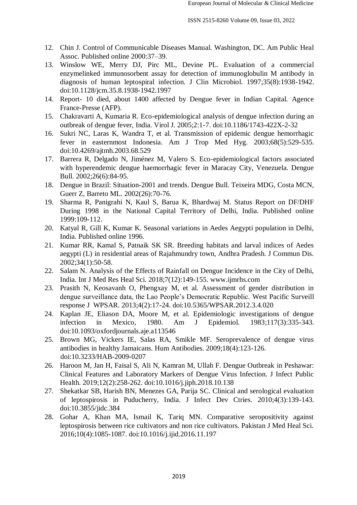- 12. Chin J. Control of Communicable Diseases Manual. Washington, DC. Am Public Heal Assoc. Published online 2000:37–39.
- 13. Winslow WE, Merry DJ, Pirc ML, Devine PL. Evaluation of a commercial enzymelinked immunosorbent assay for detection of immunoglobulin M antibody in diagnosis of human leptospiral infection. J Clin Microbiol. 1997;35(8):1938-1942. doi:10.1128/jcm.35.8.1938-1942.1997
- 14. Report- 10 died, about 1400 affected by Dengue fever in Indian Capital. Agence France-Presse (AFP).
- 15. Chakravarti A, Kumaria R. Eco-epidemiological analysis of dengue infection during an outbreak of dengue fever, India. Virol J. 2005;2:1-7. doi:10.1186/1743-422X-2-32
- 16. Sukri NC, Laras K, Wandra T, et al. Transmission of epidemic dengue hemorrhagic fever in easternmost Indonesia. Am J Trop Med Hyg. 2003;68(5):529-535. doi:10.4269/ajtmh.2003.68.529
- 17. Barrera R, Delgado N, Jiménez M, Valero S. Eco-epidemiological factors associated with hyperendemic dengue haemorrhagic fever in Maracay City, Venezuela. Dengue Bull. 2002;26(6):84-95.
- 18. Dengue in Brazil: Situation-2001 and trends. Dengue Bull. Teixeira MDG, Costa MCN, Guerr Z, Barreto ML. 2002(26):70-76.
- 19. Sharma R, Panigrahi N, Kaul S, Barua K, Bhardwaj M. Status Report on DF/DHF During 1998 in the National Capital Territory of Delhi, India. Published online 1999:109-112.
- 20. Katyal R, Gill K, Kumar K. Seasonal variations in Aedes Aegypti population in Delhi, India. Published online 1996.
- 21. Kumar RR, Kamal S, Patnaik SK SR. Breeding habitats and larval indices of Aedes aegypti (L) in residential areas of Rajahmundry town, Andhra Pradesh. J Commun Dis. 2002;34(1):50-58.
- 22. Salam N. Analysis of the Effects of Rainfall on Dengue Incidence in the City of Delhi, India. Int J Med Res Heal Sci. 2018;7(12):149-155. www.ijmrhs.com
- 23. Prasith N, Keosavanh O, Phengxay M, et al. Assessment of gender distribution in dengue surveillance data, the Lao People's Democratic Republic. West Pacific Surveill response J WPSAR. 2013;4(2):17-24. doi:10.5365/WPSAR.2012.3.4.020
- 24. Kaplan JE, Eliason DA, Moore M, et al. Epidemiologic investigations of dengue infection in Mexico, 1980. Am J Epidemiol. 1983;117(3):335-343. doi:10.1093/oxfordjournals.aje.a113546
- 25. Brown MG, Vickers IE, Salas RA, Smikle MF. Seroprevalence of dengue virus antibodies in healthy Jamaicans. Hum Antibodies. 2009;18(4):123-126. doi:10.3233/HAB-2009-0207
- 26. Haroon M, Jan H, Faisal S, Ali N, Kamran M, Ullah F. Dengue Outbreak in Peshawar: Clinical Features and Laboratory Markers of Dengue Virus Infection. J Infect Public Health. 2019;12(2):258-262. doi:10.1016/j.jiph.2018.10.138
- 27. Shekatkar SB, Harish BN, Menezes GA, Parija SC. Clinical and serological evaluation of leptospirosis in Puducherry, India. J Infect Dev Ctries. 2010;4(3):139-143. doi:10.3855/jidc.384
- 28. Gohar A, Khan MA, Ismail K, Tariq MN. Comparative seropositivity against leptospirosis between rice cultivators and non rice cultivators. Pakistan J Med Heal Sci. 2016;10(4):1085-1087. doi:10.1016/j.ijid.2016.11.197